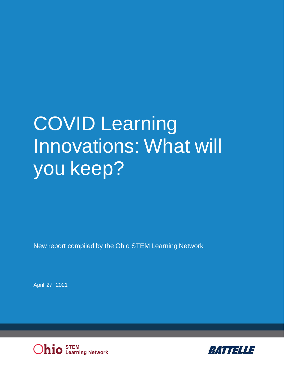# COVID Learning Innovations: What will you keep?

New report compiled by the Ohio STEM Learning Network

April 27, 2021



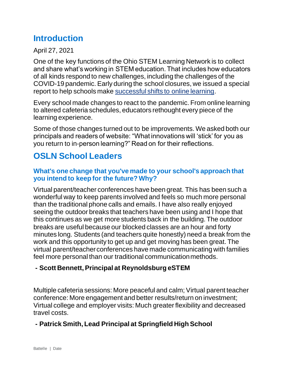# **Introduction**

April 27, 2021

One of the key functions of the Ohio STEM Learning Network is to collect and share what's working in STEM education. That includes how educators of all kinds respond to new challenges, including the challenges of the COVID-19 pandemic. Early during the school closures, we issued a special report to help schools make [successful shifts to online learning.](https://osln.org/2020/04/distance-learning-new-report-and-teacher-interview/)

Every school made changes to react to the pandemic. From online learning to altered cafeteria schedules, educators rethought every piece of the learning experience.

Some of those changes turned out to be improvements. We asked both our principals and readers of website: "What innovations will 'stick' for you as you return to in-person learning?" Read on for their reflections.

# **OSLN School Leaders**

#### **What's one change that you've made to your school's approach that you intend to keep for the future? Why?**

Virtual parent/teacher conferences have been great. This has been such a wonderful way to keep parents involved and feels so much more personal than the traditional phone calls and emails. I have also really enjoyed seeing the outdoor breaks that teachers have been using and I hope that this continues as we get more students back in the building. The outdoor breaks are useful because our blocked classes are an hour and forty minutes long. Students (and teachers quite honestly) need a break from the work and this opportunity to get up and get moving has been great. The virtual parent/teacher conferences have made communicating with families feel more personal than our traditional communication methods.

#### **- Scott Bennett, Principal at Reynoldsburg eSTEM**

Multiple cafeteria sessions: More peaceful and calm; Virtual parent teacher conference: More engagement and better results/return on investment; Virtual college and employer visits: Much greater flexibility and decreased travel costs.

#### **- Patrick Smith, Lead Principal at Springfield High School**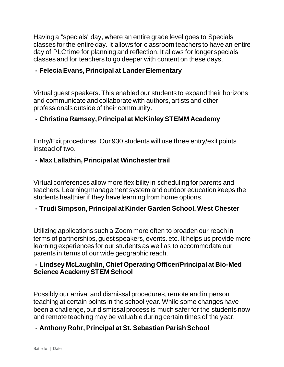Having a "specials" day, where an entire grade level goes to Specials classes for the entire day. It allows for classroom teachers to have an entire day of PLC time for planning and reflection. It allows for longer specials classes and for teachers to go deeper with content on these days.

#### **- Felecia Evans, Principal at Lander Elementary**

Virtual guest speakers. This enabled our students to expand their horizons and communicate and collaborate with authors, artists and other professionals outside of their community.

#### **- Christina Ramsey, Principal at McKinley STEMM Academy**

Entry/Exit procedures. Our 930 students will use three entry/exit points instead of two.

#### **- Max Lallathin, Principal at Winchester trail**

Virtual conferences allow more flexibility in scheduling for parents and teachers. Learning management system and outdoor education keeps the students healthier if they have learning from home options.

#### **- Trudi Simpson, Principal at Kinder Garden School, West Chester**

Utilizing applications such a Zoom more often to broaden our reach in terms of partnerships, guest speakers, events. etc. It helps us provide more learning experiences for our students as well as to accommodate our parents in terms of our wide geographic reach.

#### **- Lindsey McLaughlin, Chief Operating Officer/Principal at Bio-Med Science Academy STEM School**

Possibly our arrival and dismissal procedures, remote and in person teaching at certain points in the school year. While some changes have been a challenge, our dismissal process is much safer for the students now and remote teaching may be valuable during certain times of the year.

#### - **Anthony Rohr, Principal at St. Sebastian Parish School**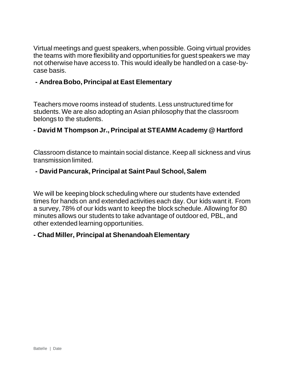Virtual meetings and guest speakers, when possible. Going virtual provides the teams with more flexibility and opportunities for guest speakers we may not otherwise have access to. This would ideally be handled on a case-bycase basis.

#### **- Andrea Bobo, Principal at East Elementary**

Teachers move rooms instead of students. Less unstructured time for students. We are also adopting an Asian philosophy that the classroom belongs to the students.

#### **- David M Thompson Jr., Principal at STEAMM Academy @ Hartford**

Classroom distance to maintain social distance. Keep all sickness and virus transmission limited.

#### **- David Pancurak, Principal at Saint Paul School, Salem**

We will be keeping block scheduling where our students have extended times for hands on and extended activities each day. Our kids want it. From a survey, 78% of our kids want to keep the block schedule. Allowing for 80 minutes allows our students to take advantage of outdoor ed, PBL, and other extended learning opportunities.

#### **- Chad Miller, Principal at Shenandoah Elementary**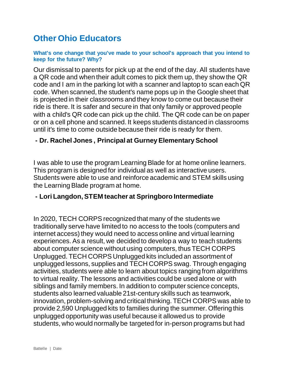## **Other Ohio Educators**

#### **What's one change that you've made to your school's approach that you intend to keep for the future? Why?**

Our dismissal to parents for pick up at the end of the day. All students have a QR code and when their adult comes to pick them up, they show the QR code and I am in the parking lot with a scanner and laptop to scan each QR code. When scanned, the student's name pops up in the Google sheet that is projected in their classrooms and they know to come out because their ride is there. It is safer and secure in that only family or approved people with a child's QR code can pick up the child. The QR code can be on paper or on a cell phone and scanned. It keeps students distanced in classrooms until it's time to come outside because their ride is ready for them.

#### **- Dr. Rachel Jones , Principal at Gurney Elementary School**

I was able to use the program Learning Blade for at home online learners. This program is designed for individual as well as interactive users. Students were able to use and reinforce academic and STEM skills using the Learning Blade program at home.

#### **- Lori Langdon, STEM teacher at Springboro Intermediate**

In 2020, TECH CORPS recognized that many of the students we traditionally serve have limited to no access to the tools (computers and internet access) they would need to access online and virtual learning experiences. As a result, we decided to develop a way to teach students about computer science without using computers, thus TECH CORPS Unplugged. TECH CORPS Unplugged kits included an assortment of unplugged lessons, supplies and TECH CORPS swag. Through engaging activities, students were able to learn about topics ranging from algorithms to virtual reality. The lessons and activities could be used alone or with siblings and family members. In addition to computer science concepts, students also learned valuable 21st-century skills such as teamwork, innovation, problem-solving and critical thinking. TECH CORPS was able to provide 2,590 Unplugged kits to families during the summer. Offering this unplugged opportunity was useful because it allowed us to provide students, who would normally be targeted for in-person programs but had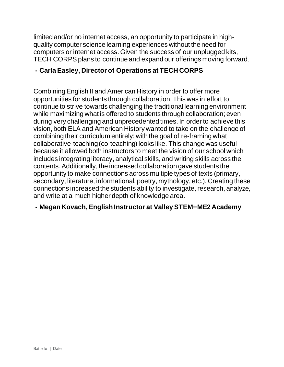limited and/or no internet access, an opportunity to participate in highquality computer science learning experiences without the need for computers or internet access. Given the success of our unplugged kits, TECH CORPS plans to continue and expand our offerings moving forward.

#### **- Carla Easley, Director of Operations at TECH CORPS**

Combining English II and American History in order to offer more opportunities for students through collaboration. This was in effort to continue to strive towards challenging the traditional learning environment while maximizing what is offered to students through collaboration; even during very challenging and unprecedented times. In order to achieve this vision, both ELA and American History wanted to take on the challenge of combining their curriculum entirely; with the goal of re-framing what collaborative-teaching (co-teaching) looks like. This change was useful because it allowed both instructors to meet the vision of our school which includes integrating literacy, analytical skills, and writing skills across the contents. Additionally, the increased collaboration gave students the opportunity to make connections across multiple types of texts (primary, secondary, literature, informational, poetry, mythology, etc.). Creating these connections increased the students ability to investigate, research, analyze, and write at a much higher depth of knowledge area.

#### **- Megan Kovach, English Instructor at Valley STEM+ME2 Academy**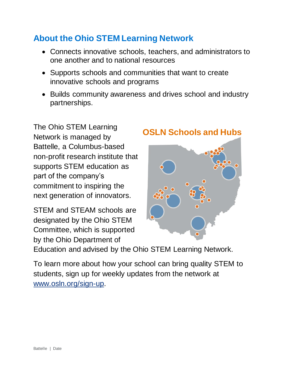# **About the Ohio STEM Learning Network**

- Connects innovative schools, teachers, and administrators to one another and to national resources
- Supports schools and communities that want to create innovative schools and programs
- Builds community awareness and drives school and industry partnerships.

The Ohio STEM Learning Network is managed by Battelle, a Columbus-based non-profit research institute that supports STEM education as part of the company's commitment to inspiring the next generation of innovators.

STEM and STEAM schools are designated by the Ohio STEM Committee, which is supported by the Ohio Department of

## **OSLN Schools and Hubs**



Education and advised by the Ohio STEM Learning Network.

To learn more about how your school can bring quality STEM to students, sign up for weekly updates from the network at [www.osln.org/sign-up.](http://www.osln.org/sign-up)